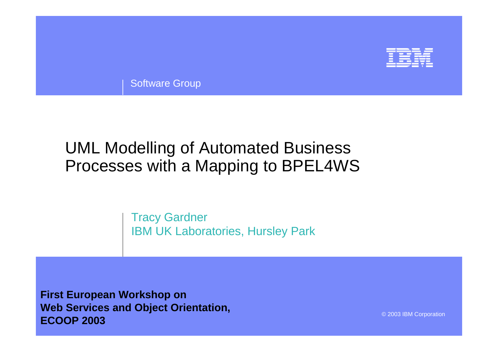

Software Group

## UML Modelling of Automated Business Processes with a Mapping to BPEL4WS

Tracy Gardner IBM UK Laboratories, Hursley Park

**First European Workshop on Web Services and Object Orientation, ECOOP 2003**

© 2003 IBM Corporation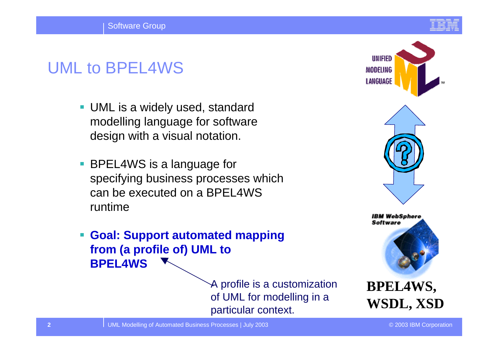# UML to BPEL4WS

- UML is a widely used, standard modelling language for software design with a visual notation.
- BPEL4WS is a language for specifying business processes which can be executed on a BPEL4WS runtime
- **Goal: Support automated mapping from (a profile of) UML to BPEL4WS**

A profile is a customization of UML for modelling in a particular context.





**BPEL4WS, WSDL, XSD**

UML Modelling of Automated Business Processes | July 2003 © 2003 IBM Corporation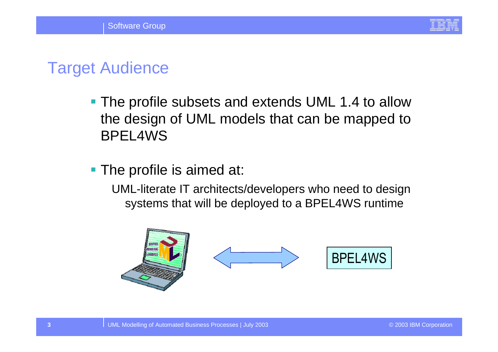

### Target Audience

- **The profile subsets and extends UML 1.4 to allow** the design of UML models that can be mapped to BPEL4WS
- **The profile is aimed at:**

UML-literate IT architects/developers who need to design systems that will be deployed to a BPEL4WS runtime

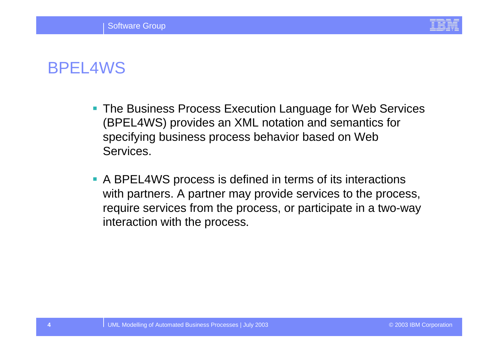

## BPEL4WS

- **The Business Process Execution Language for Web Services** (BPEL4WS) provides an XML notation and semantics for specifying business process behavior based on Web Services.
- A BPEL4WS process is defined in terms of its interactions with partners. A partner may provide services to the process, require services from the process, or participate in a two-way interaction with the process.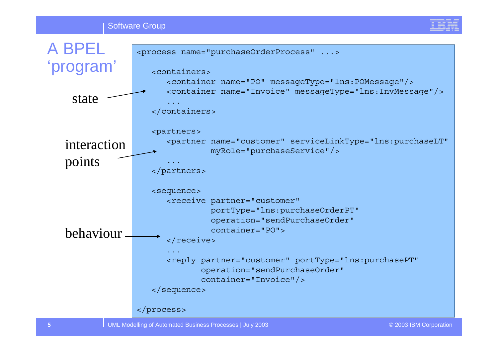

UML Modelling of Automated Business Processes | July 2003 **COVID 1999** COVID 1999 © 2003 IBM Corporation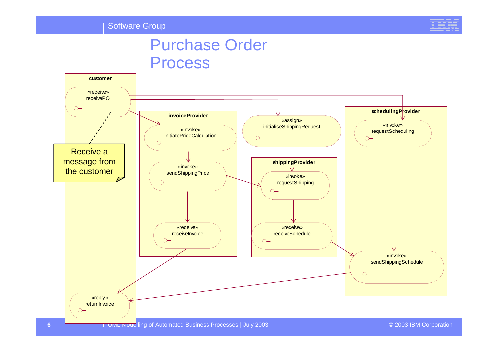

### Purchase Order Process

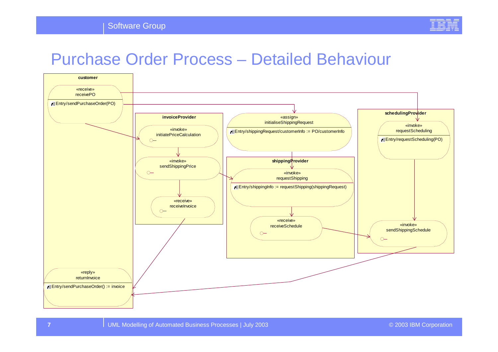

#### Purchase Order Process – Detailed Behaviour

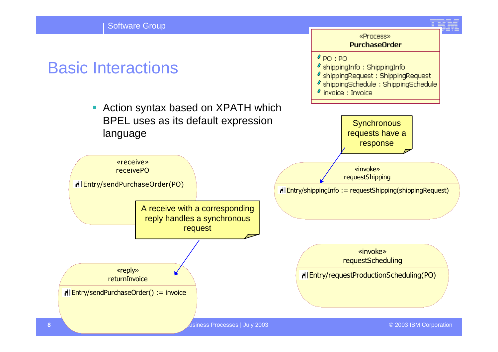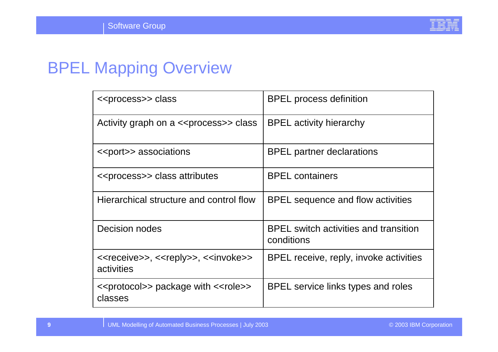

## BPEL Mapping Overview

| < <process>&gt; class</process>                                                              | <b>BPEL</b> process definition                             |
|----------------------------------------------------------------------------------------------|------------------------------------------------------------|
| Activity graph on a < <process>&gt; class</process>                                          | <b>BPEL activity hierarchy</b>                             |
| < <port>&gt; associations</port>                                                             | <b>BPEL</b> partner declarations                           |
| < <process>&gt; class attributes</process>                                                   | <b>BPEL</b> containers                                     |
| Hierarchical structure and control flow                                                      | BPEL sequence and flow activities                          |
| Decision nodes                                                                               | <b>BPEL</b> switch activities and transition<br>conditions |
| < <receive>&gt;, &lt;<reply>&gt;, &lt;<invoke>&gt;<br/>activities</invoke></reply></receive> | BPEL receive, reply, invoke activities                     |
| < <protocol>&gt; package with &lt;<role>&gt;<br/>classes</role></protocol>                   | BPEL service links types and roles                         |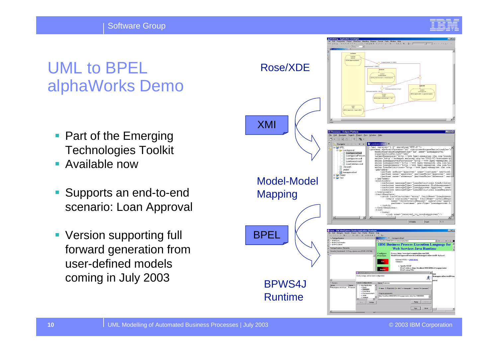Software Group



## UML to BPELalphaWorks Demo

- $\overline{\phantom{a}}$  Part of the Emerging Technologies Toolkit
- Available now
- $\overline{\mathbb{R}}$  Supports an end-to-end scenario: Loan Approval
- Version supporting full forward generation from user-defined models coming in July 2003

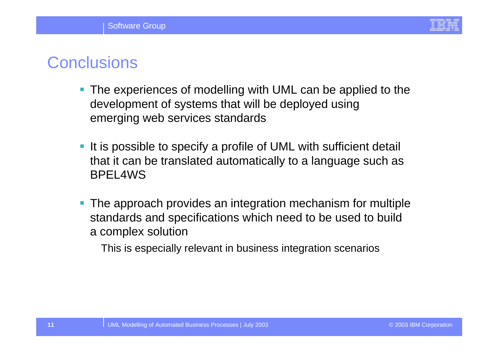

### **Conclusions**

- The experiences of modelling with UML can be applied to the development of systems that will be deployed using emerging web services standards
- It is possible to specify a profile of UML with sufficient detail that it can be translated automatically to a language such as BPEL4WS
- **The approach provides an integration mechanism for multiple** standards and specifications which need to be used to build a complex solution

This is especially relevant in business integration scenarios